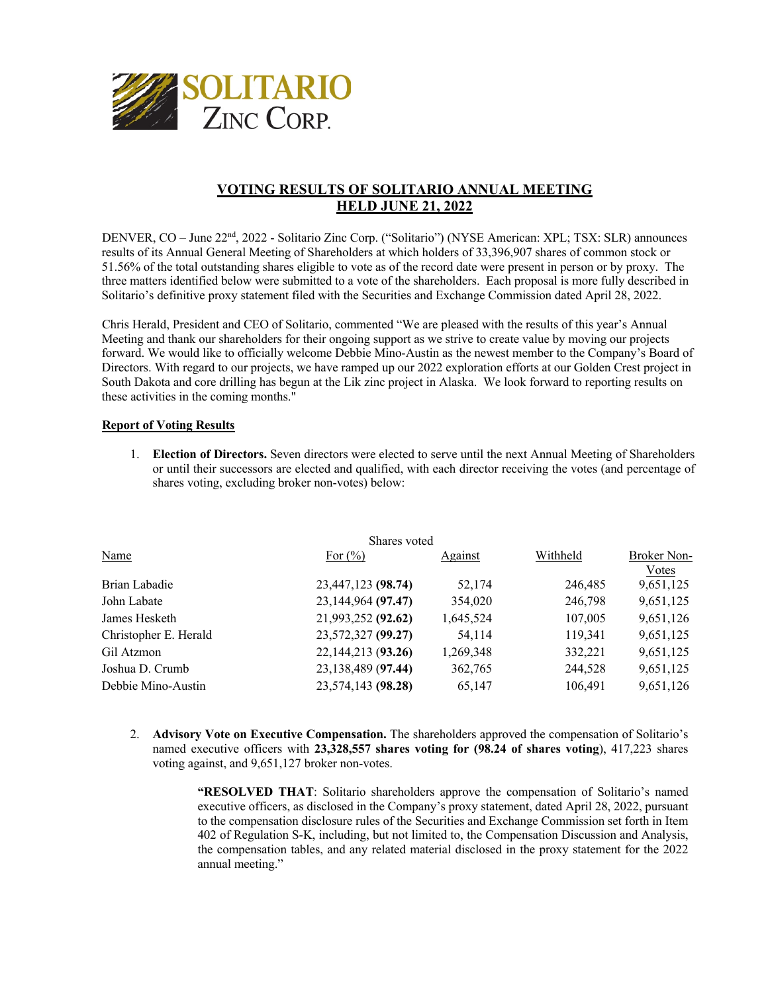

## **VOTING RESULTS OF SOLITARIO ANNUAL MEETING HELD JUNE 21, 2022**

DENVER, CO – June 22<sup>nd</sup>, 2022 - Solitario Zinc Corp. ("Solitario") (NYSE American: XPL; TSX: SLR) announces results of its Annual General Meeting of Shareholders at which holders of 33,396,907 shares of common stock or 51.56% of the total outstanding shares eligible to vote as of the record date were present in person or by proxy. The three matters identified below were submitted to a vote of the shareholders. Each proposal is more fully described in Solitario's definitive proxy statement filed with the Securities and Exchange Commission dated April 28, 2022.

Chris Herald, President and CEO of Solitario, commented "We are pleased with the results of this year's Annual Meeting and thank our shareholders for their ongoing support as we strive to create value by moving our projects forward. We would like to officially welcome Debbie Mino-Austin as the newest member to the Company's Board of Directors. With regard to our projects, we have ramped up our 2022 exploration efforts at our Golden Crest project in South Dakota and core drilling has begun at the Lik zinc project in Alaska. We look forward to reporting results on these activities in the coming months."

## **Report of Voting Results**

1. **Election of Directors.** Seven directors were elected to serve until the next Annual Meeting of Shareholders or until their successors are elected and qualified, with each director receiving the votes (and percentage of shares voting, excluding broker non-votes) below:

| Shares voted          |                    |           |          |             |
|-----------------------|--------------------|-----------|----------|-------------|
| Name                  | For $(\% )$        | Against   | Withheld | Broker Non- |
|                       |                    |           |          | Votes       |
| Brian Labadie         | 23,447,123 (98.74) | 52,174    | 246,485  | 9,651,125   |
| John Labate           | 23,144,964 (97.47) | 354,020   | 246,798  | 9,651,125   |
| James Hesketh         | 21,993,252 (92.62) | 1,645,524 | 107,005  | 9,651,126   |
| Christopher E. Herald | 23,572,327 (99.27) | 54,114    | 119,341  | 9,651,125   |
| Gil Atzmon            | 22,144,213 (93.26) | 1,269,348 | 332,221  | 9,651,125   |
| Joshua D. Crumb       | 23,138,489 (97.44) | 362,765   | 244,528  | 9,651,125   |
| Debbie Mino-Austin    | 23,574,143 (98.28) | 65,147    | 106,491  | 9,651,126   |
|                       |                    |           |          |             |

2. **Advisory Vote on Executive Compensation.** The shareholders approved the compensation of Solitario's named executive officers with **23,328,557 shares voting for (98.24 of shares voting**), 417,223 shares voting against, and 9,651,127 broker non-votes.

> **"RESOLVED THAT**: Solitario shareholders approve the compensation of Solitario's named executive officers, as disclosed in the Company's proxy statement, dated April 28, 2022, pursuant to the compensation disclosure rules of the Securities and Exchange Commission set forth in Item 402 of Regulation S-K, including, but not limited to, the Compensation Discussion and Analysis, the compensation tables, and any related material disclosed in the proxy statement for the 2022 annual meeting."